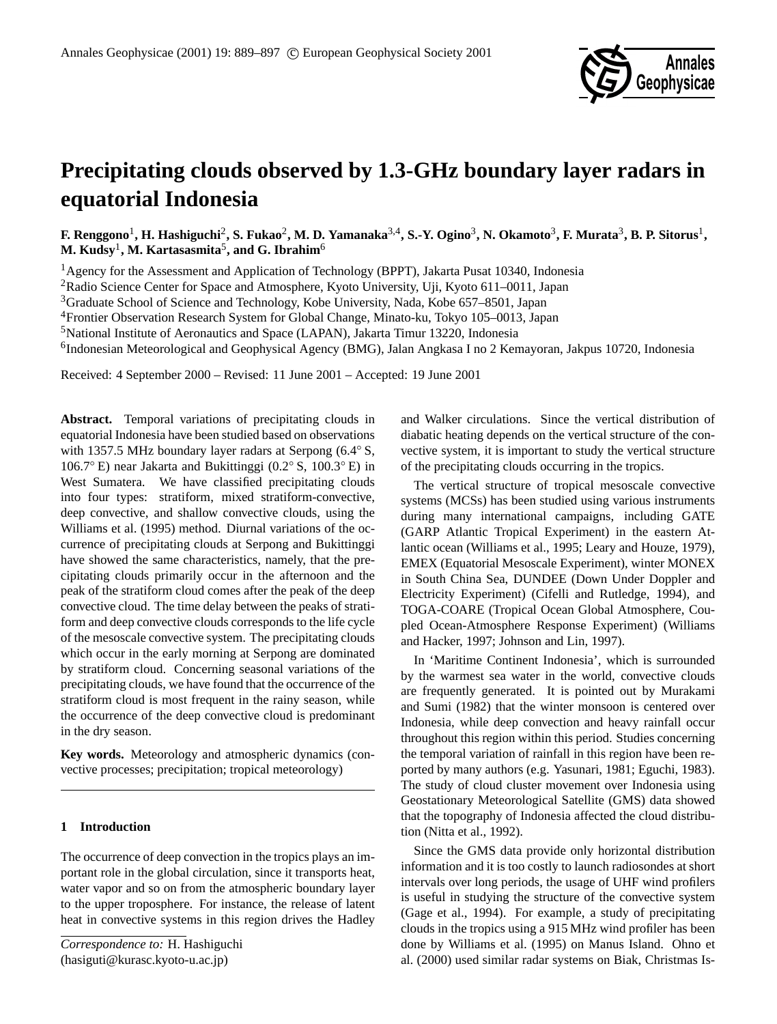

# **Precipitating clouds observed by 1.3-GHz boundary layer radars in equatorial Indonesia**

**F. Renggono**<sup>1</sup> **, H. Hashiguchi**<sup>2</sup> **, S. Fukao**<sup>2</sup> **, M. D. Yamanaka**3,4**, S.-Y. Ogino**<sup>3</sup> **, N. Okamoto**<sup>3</sup> **, F. Murata**<sup>3</sup> **, B. P. Sitorus**<sup>1</sup> **,**  $\mathbf{M}.$  **Kudsy** $^{1},$  **M. Kartasasmita** $^{5},$  **and G. Ibrahim** $^{6}$ 

<sup>1</sup>Agency for the Assessment and Application of Technology (BPPT), Jakarta Pusat 10340, Indonesia

<sup>2</sup>Radio Science Center for Space and Atmosphere, Kyoto University, Uji, Kyoto 611-0011, Japan

<sup>3</sup>Graduate School of Science and Technology, Kobe University, Nada, Kobe 657–8501, Japan

<sup>4</sup>Frontier Observation Research System for Global Change, Minato-ku, Tokyo 105–0013, Japan

<sup>5</sup>National Institute of Aeronautics and Space (LAPAN), Jakarta Timur 13220, Indonesia

<sup>6</sup>Indonesian Meteorological and Geophysical Agency (BMG), Jalan Angkasa I no 2 Kemayoran, Jakpus 10720, Indonesia

Received: 4 September 2000 – Revised: 11 June 2001 – Accepted: 19 June 2001

**Abstract.** Temporal variations of precipitating clouds in equatorial Indonesia have been studied based on observations with 1357.5 MHz boundary layer radars at Serpong (6.4◦ S, 106.7◦ E) near Jakarta and Bukittinggi (0.2◦ S, 100.3◦ E) in West Sumatera. We have classified precipitating clouds into four types: stratiform, mixed stratiform-convective, deep convective, and shallow convective clouds, using the Williams et al. (1995) method. Diurnal variations of the occurrence of precipitating clouds at Serpong and Bukittinggi have showed the same characteristics, namely, that the precipitating clouds primarily occur in the afternoon and the peak of the stratiform cloud comes after the peak of the deep convective cloud. The time delay between the peaks of stratiform and deep convective clouds corresponds to the life cycle of the mesoscale convective system. The precipitating clouds which occur in the early morning at Serpong are dominated by stratiform cloud. Concerning seasonal variations of the precipitating clouds, we have found that the occurrence of the stratiform cloud is most frequent in the rainy season, while the occurrence of the deep convective cloud is predominant in the dry season.

**Key words.** Meteorology and atmospheric dynamics (convective processes; precipitation; tropical meteorology)

## **1 Introduction**

The occurrence of deep convection in the tropics plays an important role in the global circulation, since it transports heat, water vapor and so on from the atmospheric boundary layer to the upper troposphere. For instance, the release of latent heat in convective systems in this region drives the Hadley and Walker circulations. Since the vertical distribution of diabatic heating depends on the vertical structure of the convective system, it is important to study the vertical structure of the precipitating clouds occurring in the tropics.

The vertical structure of tropical mesoscale convective systems (MCSs) has been studied using various instruments during many international campaigns, including GATE (GARP Atlantic Tropical Experiment) in the eastern Atlantic ocean (Williams et al., 1995; Leary and Houze, 1979), EMEX (Equatorial Mesoscale Experiment), winter MONEX in South China Sea, DUNDEE (Down Under Doppler and Electricity Experiment) (Cifelli and Rutledge, 1994), and TOGA-COARE (Tropical Ocean Global Atmosphere, Coupled Ocean-Atmosphere Response Experiment) (Williams and Hacker, 1997; Johnson and Lin, 1997).

In 'Maritime Continent Indonesia', which is surrounded by the warmest sea water in the world, convective clouds are frequently generated. It is pointed out by Murakami and Sumi (1982) that the winter monsoon is centered over Indonesia, while deep convection and heavy rainfall occur throughout this region within this period. Studies concerning the temporal variation of rainfall in this region have been reported by many authors (e.g. Yasunari, 1981; Eguchi, 1983). The study of cloud cluster movement over Indonesia using Geostationary Meteorological Satellite (GMS) data showed that the topography of Indonesia affected the cloud distribution (Nitta et al., 1992).

Since the GMS data provide only horizontal distribution information and it is too costly to launch radiosondes at short intervals over long periods, the usage of UHF wind profilers is useful in studying the structure of the convective system (Gage et al., 1994). For example, a study of precipitating clouds in the tropics using a 915 MHz wind profiler has been done by Williams et al. (1995) on Manus Island. Ohno et al. (2000) used similar radar systems on Biak, Christmas Is-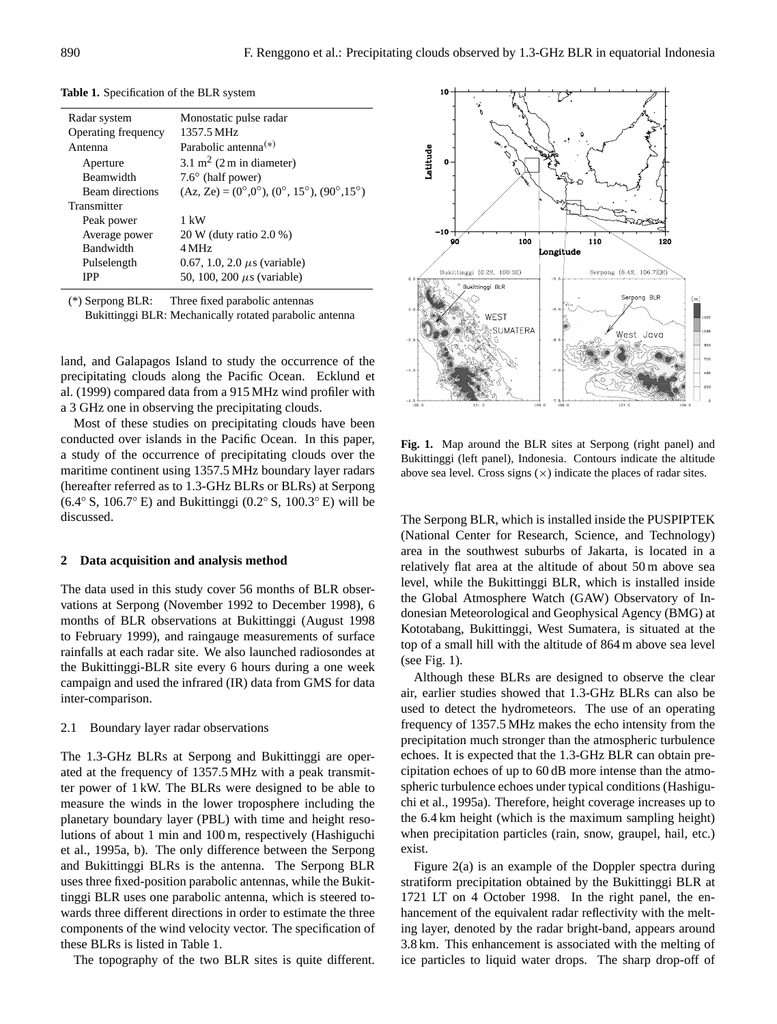| Radar system        | Monostatic pulse radar                                                                 |
|---------------------|----------------------------------------------------------------------------------------|
| Operating frequency | 1357.5 MHz                                                                             |
| Antenna             | Parabolic antenna <sup><math>(*)</math></sup>                                          |
| Aperture            | $3.1 \text{ m}^2$ (2 m in diameter)                                                    |
| Beamwidth           | $7.6^{\circ}$ (half power)                                                             |
| Beam directions     | $(Az, Ze) = (0^{\circ}, 0^{\circ}), (0^{\circ}, 15^{\circ}), (90^{\circ}, 15^{\circ})$ |
| Transmitter         |                                                                                        |
| Peak power          | 1 kW                                                                                   |
| Average power       | 20 W (duty ratio 2.0 %)                                                                |
| <b>Bandwidth</b>    | $4\,\mathrm{MHz}$                                                                      |
| Pulselength         | 0.67, 1.0, 2.0 $\mu$ s (variable)                                                      |
| <b>IPP</b>          | 50, 100, 200 $\mu$ s (variable)                                                        |

**Table 1.** Specification of the BLR system

(\*) Serpong BLR: Three fixed parabolic antennas Bukittinggi BLR: Mechanically rotated parabolic antenna

land, and Galapagos Island to study the occurrence of the precipitating clouds along the Pacific Ocean. Ecklund et al. (1999) compared data from a 915 MHz wind profiler with a 3 GHz one in observing the precipitating clouds.

Most of these studies on precipitating clouds have been conducted over islands in the Pacific Ocean. In this paper, a study of the occurrence of precipitating clouds over the maritime continent using 1357.5 MHz boundary layer radars (hereafter referred as to 1.3-GHz BLRs or BLRs) at Serpong  $(6.4° S, 106.7° E)$  and Bukittinggi  $(0.2° S, 100.3° E)$  will be discussed.

## **2 Data acquisition and analysis method**

The data used in this study cover 56 months of BLR observations at Serpong (November 1992 to December 1998), 6 months of BLR observations at Bukittinggi (August 1998 to February 1999), and raingauge measurements of surface rainfalls at each radar site. We also launched radiosondes at the Bukittinggi-BLR site every 6 hours during a one week campaign and used the infrared (IR) data from GMS for data inter-comparison.

2.1 Boundary layer radar observations

The 1.3-GHz BLRs at Serpong and Bukittinggi are operated at the frequency of 1357.5 MHz with a peak transmitter power of 1 kW. The BLRs were designed to be able to measure the winds in the lower troposphere including the planetary boundary layer (PBL) with time and height resolutions of about 1 min and 100 m, respectively (Hashiguchi et al., 1995a, b). The only difference between the Serpong and Bukittinggi BLRs is the antenna. The Serpong BLR uses three fixed-position parabolic antennas, while the Bukittinggi BLR uses one parabolic antenna, which is steered towards three different directions in order to estimate the three components of the wind velocity vector. The specification of these BLRs is listed in Table 1.

The topography of the two BLR sites is quite different.



Fig. 1. Map around the BLR sites at Serpong (right panel) and Bukittinggi (left panel), Indonesia. Contours indicate the altitude above sea level. Cross signs  $(x)$  indicate the places of radar sites.

The Serpong BLR, which is installed inside the PUSPIPTEK (National Center for Research, Science, and Technology) area in the southwest suburbs of Jakarta, is located in a relatively flat area at the altitude of about 50 m above sea level, while the Bukittinggi BLR, which is installed inside the Global Atmosphere Watch (GAW) Observatory of Indonesian Meteorological and Geophysical Agency (BMG) at Kototabang, Bukittinggi, West Sumatera, is situated at the top of a small hill with the altitude of 864 m above sea level (see Fig. 1).

Although these BLRs are designed to observe the clear air, earlier studies showed that 1.3-GHz BLRs can also be used to detect the hydrometeors. The use of an operating frequency of 1357.5 MHz makes the echo intensity from the precipitation much stronger than the atmospheric turbulence echoes. It is expected that the 1.3-GHz BLR can obtain precipitation echoes of up to 60 dB more intense than the atmospheric turbulence echoes under typical conditions (Hashiguchi et al., 1995a). Therefore, height coverage increases up to the 6.4 km height (which is the maximum sampling height) when precipitation particles (rain, snow, graupel, hail, etc.) exist.

Figure 2(a) is an example of the Doppler spectra during stratiform precipitation obtained by the Bukittinggi BLR at 1721 LT on 4 October 1998. In the right panel, the enhancement of the equivalent radar reflectivity with the melting layer, denoted by the radar bright-band, appears around 3.8 km. This enhancement is associated with the melting of ice particles to liquid water drops. The sharp drop-off of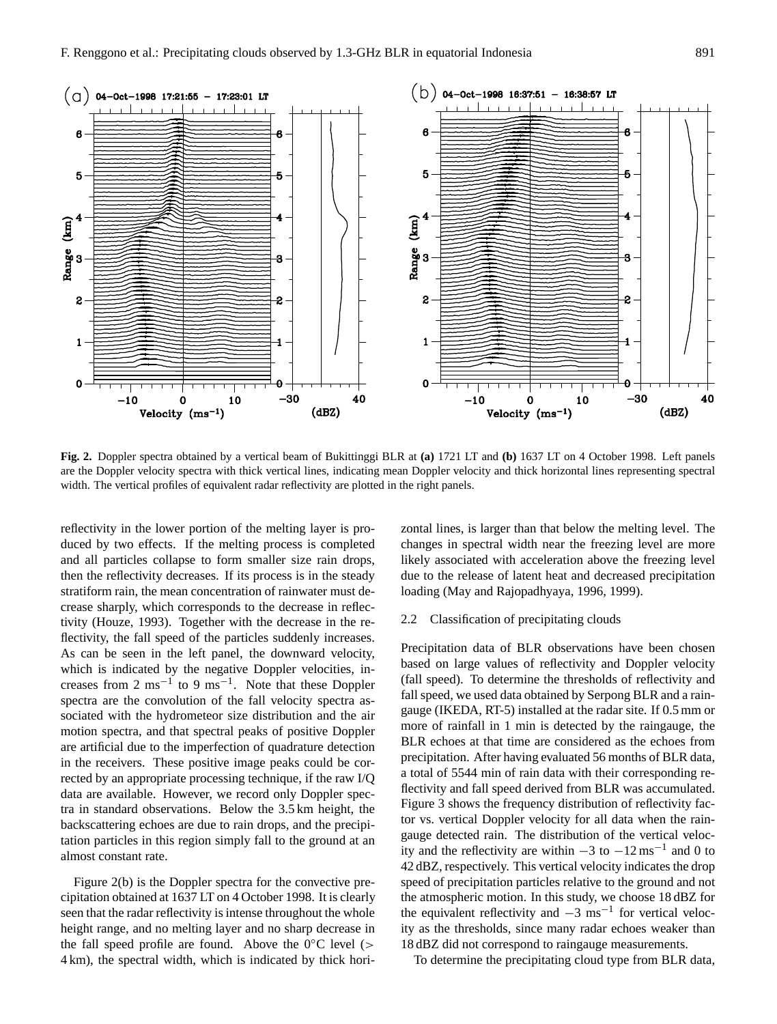

**Fig. 2.** Doppler spectra obtained by a vertical beam of Bukittinggi BLR at **(a)** 1721 LT and **(b)** 1637 LT on 4 October 1998. Left panels are the Doppler velocity spectra with thick vertical lines, indicating mean Doppler velocity and thick horizontal lines representing spectral width. The vertical profiles of equivalent radar reflectivity are plotted in the right panels.

reflectivity in the lower portion of the melting layer is produced by two effects. If the melting process is completed and all particles collapse to form smaller size rain drops, then the reflectivity decreases. If its process is in the steady stratiform rain, the mean concentration of rainwater must decrease sharply, which corresponds to the decrease in reflectivity (Houze, 1993). Together with the decrease in the reflectivity, the fall speed of the particles suddenly increases. As can be seen in the left panel, the downward velocity, which is indicated by the negative Doppler velocities, increases from 2 ms<sup>-1</sup> to 9 ms<sup>-1</sup>. Note that these Doppler spectra are the convolution of the fall velocity spectra associated with the hydrometeor size distribution and the air motion spectra, and that spectral peaks of positive Doppler are artificial due to the imperfection of quadrature detection in the receivers. These positive image peaks could be corrected by an appropriate processing technique, if the raw I/Q data are available. However, we record only Doppler spectra in standard observations. Below the 3.5 km height, the backscattering echoes are due to rain drops, and the precipitation particles in this region simply fall to the ground at an almost constant rate.

Figure 2(b) is the Doppler spectra for the convective precipitation obtained at 1637 LT on 4 October 1998. It is clearly seen that the radar reflectivity is intense throughout the whole height range, and no melting layer and no sharp decrease in the fall speed profile are found. Above the  $0^{\circ}$ C level (> 4 km), the spectral width, which is indicated by thick horizontal lines, is larger than that below the melting level. The changes in spectral width near the freezing level are more likely associated with acceleration above the freezing level due to the release of latent heat and decreased precipitation loading (May and Rajopadhyaya, 1996, 1999).

#### 2.2 Classification of precipitating clouds

Precipitation data of BLR observations have been chosen based on large values of reflectivity and Doppler velocity (fall speed). To determine the thresholds of reflectivity and fall speed, we used data obtained by Serpong BLR and a raingauge (IKEDA, RT-5) installed at the radar site. If 0.5 mm or more of rainfall in 1 min is detected by the raingauge, the BLR echoes at that time are considered as the echoes from precipitation. After having evaluated 56 months of BLR data, a total of 5544 min of rain data with their corresponding reflectivity and fall speed derived from BLR was accumulated. Figure 3 shows the frequency distribution of reflectivity factor vs. vertical Doppler velocity for all data when the raingauge detected rain. The distribution of the vertical velocity and the reflectivity are within  $-3$  to  $-12 \text{ ms}^{-1}$  and 0 to 42 dBZ, respectively. This vertical velocity indicates the drop speed of precipitation particles relative to the ground and not the atmospheric motion. In this study, we choose 18 dBZ for the equivalent reflectivity and  $-3 \text{ ms}^{-1}$  for vertical velocity as the thresholds, since many radar echoes weaker than 18 dBZ did not correspond to raingauge measurements.

To determine the precipitating cloud type from BLR data,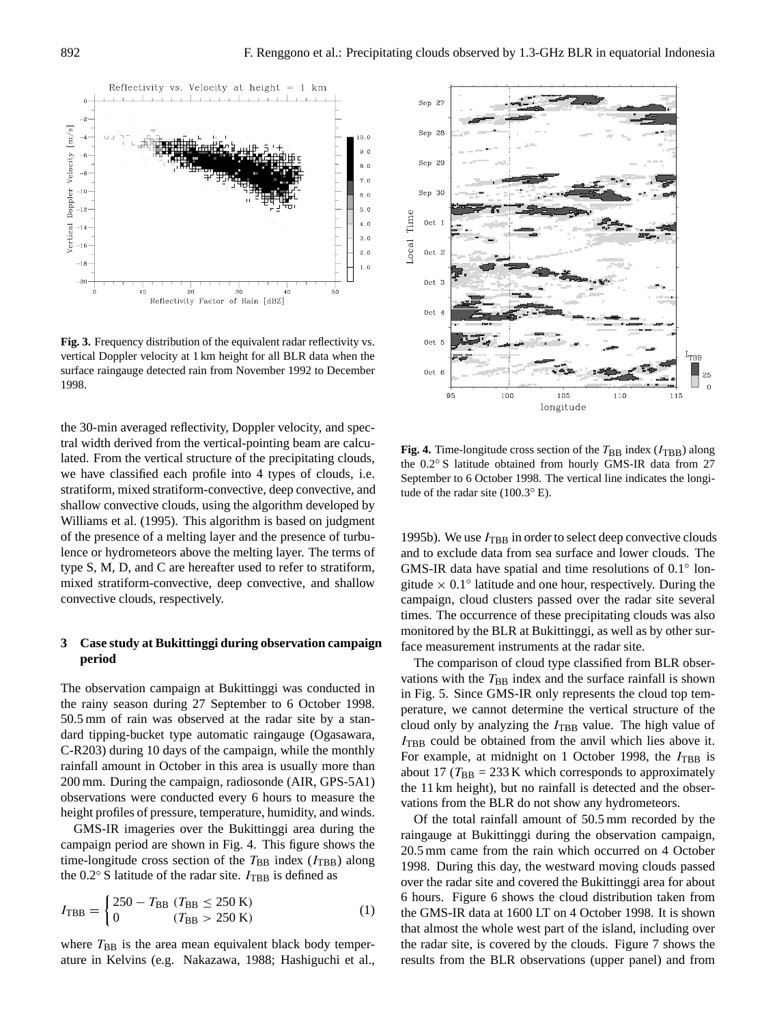

**Fig. 3.** Frequency distribution of the equivalent radar reflectivity vs. vertical Doppler velocity at 1 km height for all BLR data when the surface raingauge detected rain from November 1992 to December 1998.

the 30-min averaged reflectivity, Doppler velocity, and spectral width derived from the vertical-pointing beam are calculated. From the vertical structure of the precipitating clouds, we have classified each profile into 4 types of clouds, i.e. stratiform, mixed stratiform-convective, deep convective, and shallow convective clouds, using the algorithm developed by Williams et al. (1995). This algorithm is based on judgment of the presence of a melting layer and the presence of turbulence or hydrometeors above the melting layer. The terms of type S, M, D, and C are hereafter used to refer to stratiform, mixed stratiform-convective, deep convective, and shallow convective clouds, respectively.

## **3 Case study at Bukittinggi during observation campaign period**

The observation campaign at Bukittinggi was conducted in the rainy season during 27 September to 6 October 1998. 50.5 mm of rain was observed at the radar site by a standard tipping-bucket type automatic raingauge (Ogasawara, C-R203) during 10 days of the campaign, while the monthly rainfall amount in October in this area is usually more than 200 mm. During the campaign, radiosonde (AIR, GPS-5A1) observations were conducted every 6 hours to measure the height profiles of pressure, temperature, humidity, and winds.

GMS-IR imageries over the Bukittinggi area during the campaign period are shown in Fig. 4. This figure shows the time-longitude cross section of the  $T_{\text{BB}}$  index ( $I_{\text{TBB}}$ ) along the  $0.2°$  S latitude of the radar site.  $I_{\text{TBB}}$  is defined as

$$
I_{\rm TBB} = \begin{cases} 250 - T_{\rm BB} \ (T_{\rm BB} \le 250 \text{ K}) \\ 0 \ (T_{\rm BB} > 250 \text{ K}) \end{cases} \tag{1}
$$

where  $T_{BB}$  is the area mean equivalent black body temperature in Kelvins (e.g. Nakazawa, 1988; Hashiguchi et al.,



**Fig. 4.** Time-longitude cross section of the  $T_{\text{BB}}$  index ( $I_{\text{TRB}}$ ) along the 0.2◦ S latitude obtained from hourly GMS-IR data from 27 September to 6 October 1998. The vertical line indicates the longitude of the radar site (100.3◦ E).

1995b). We use  $I_{\text{TBB}}$  in order to select deep convective clouds and to exclude data from sea surface and lower clouds. The GMS-IR data have spatial and time resolutions of 0.1◦ longitude  $\times$  0.1° latitude and one hour, respectively. During the campaign, cloud clusters passed over the radar site several times. The occurrence of these precipitating clouds was also monitored by the BLR at Bukittinggi, as well as by other surface measurement instruments at the radar site.

The comparison of cloud type classified from BLR observations with the  $T_{\text{BB}}$  index and the surface rainfall is shown in Fig. 5. Since GMS-IR only represents the cloud top temperature, we cannot determine the vertical structure of the cloud only by analyzing the  $I_{\text{TBB}}$  value. The high value of  $I_{\text{TBB}}$  could be obtained from the anvil which lies above it. For example, at midnight on 1 October 1998, the  $I_{\text{TBB}}$  is about 17 ( $T_{\text{BB}}$  = 233 K which corresponds to approximately the 11 km height), but no rainfall is detected and the observations from the BLR do not show any hydrometeors.

Of the total rainfall amount of 50.5 mm recorded by the raingauge at Bukittinggi during the observation campaign, 20.5 mm came from the rain which occurred on 4 October 1998. During this day, the westward moving clouds passed over the radar site and covered the Bukittinggi area for about 6 hours. Figure 6 shows the cloud distribution taken from the GMS-IR data at 1600 LT on 4 October 1998. It is shown that almost the whole west part of the island, including over the radar site, is covered by the clouds. Figure 7 shows the results from the BLR observations (upper panel) and from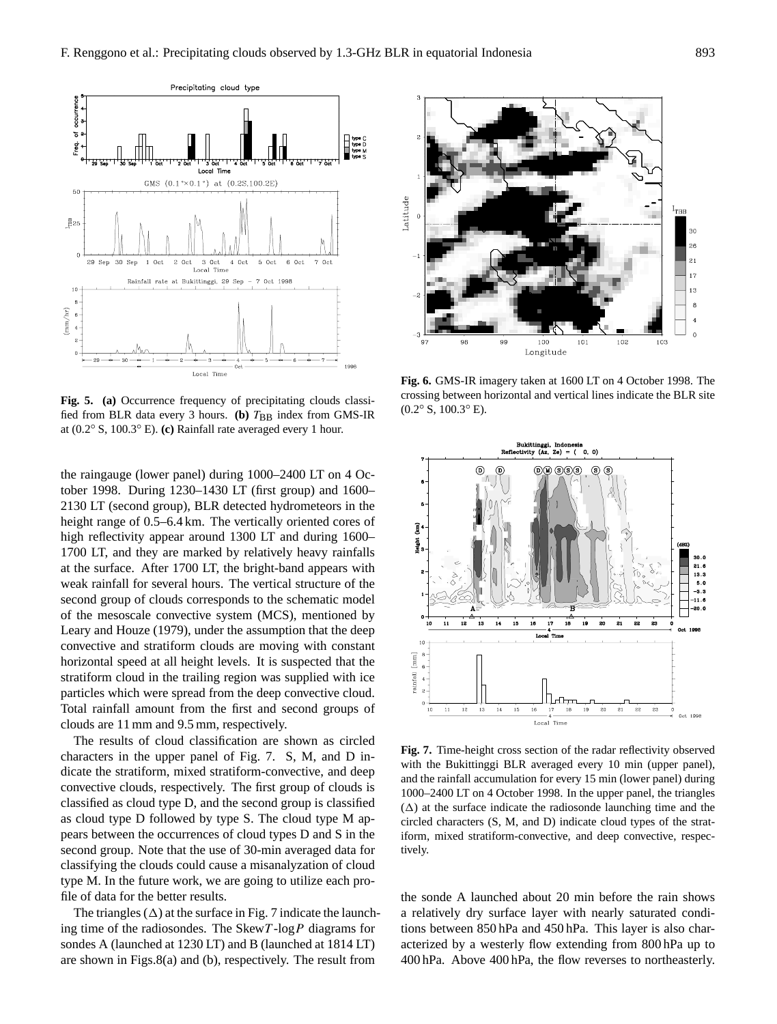

**Fig. 5. (a)** Occurrence frequency of precipitating clouds classified from BLR data every 3 hours. **(b)**  $T_{\text{BB}}$  index from GMS-IR at (0.2◦ S, 100.3◦ E). **(c)** Rainfall rate averaged every 1 hour.

the raingauge (lower panel) during 1000–2400 LT on 4 October 1998. During 1230–1430 LT (first group) and 1600– 2130 LT (second group), BLR detected hydrometeors in the height range of  $0.5-6.4$  km. The vertically oriented cores of high reflectivity appear around 1300 LT and during 1600– 1700 LT, and they are marked by relatively heavy rainfalls at the surface. After 1700 LT, the bright-band appears with weak rainfall for several hours. The vertical structure of the second group of clouds corresponds to the schematic model of the mesoscale convective system (MCS), mentioned by Leary and Houze (1979), under the assumption that the deep convective and stratiform clouds are moving with constant horizontal speed at all height levels. It is suspected that the stratiform cloud in the trailing region was supplied with ice particles which were spread from the deep convective cloud. Total rainfall amount from the first and second groups of clouds are 11 mm and 9.5 mm, respectively.

The results of cloud classification are shown as circled characters in the upper panel of Fig. 7. S, M, and D indicate the stratiform, mixed stratiform-convective, and deep convective clouds, respectively. The first group of clouds is classified as cloud type D, and the second group is classified as cloud type D followed by type S. The cloud type M appears between the occurrences of cloud types D and S in the second group. Note that the use of 30-min averaged data for classifying the clouds could cause a misanalyzation of cloud type M. In the future work, we are going to utilize each profile of data for the better results.

The triangles  $(\Delta)$  at the surface in Fig. 7 indicate the launching time of the radiosondes. The Skew  $T$ -log  $P$  diagrams for sondes A (launched at 1230 LT) and B (launched at 1814 LT) are shown in Figs.8(a) and (b), respectively. The result from



**Fig. 6.** GMS-IR imagery taken at 1600 LT on 4 October 1998. The crossing between horizontal and vertical lines indicate the BLR site  $(0.2° S, 100.3° E).$ 



**Fig. 7.** Time-height cross section of the radar reflectivity observed with the Bukittinggi BLR averaged every 10 min (upper panel), and the rainfall accumulation for every 15 min (lower panel) during 1000–2400 LT on 4 October 1998. In the upper panel, the triangles  $(\Delta)$  at the surface indicate the radiosonde launching time and the circled characters (S, M, and D) indicate cloud types of the stratiform, mixed stratiform-convective, and deep convective, respectively.

the sonde A launched about 20 min before the rain shows a relatively dry surface layer with nearly saturated conditions between 850 hPa and 450 hPa. This layer is also characterized by a westerly flow extending from 800 hPa up to 400 hPa. Above 400 hPa, the flow reverses to northeasterly.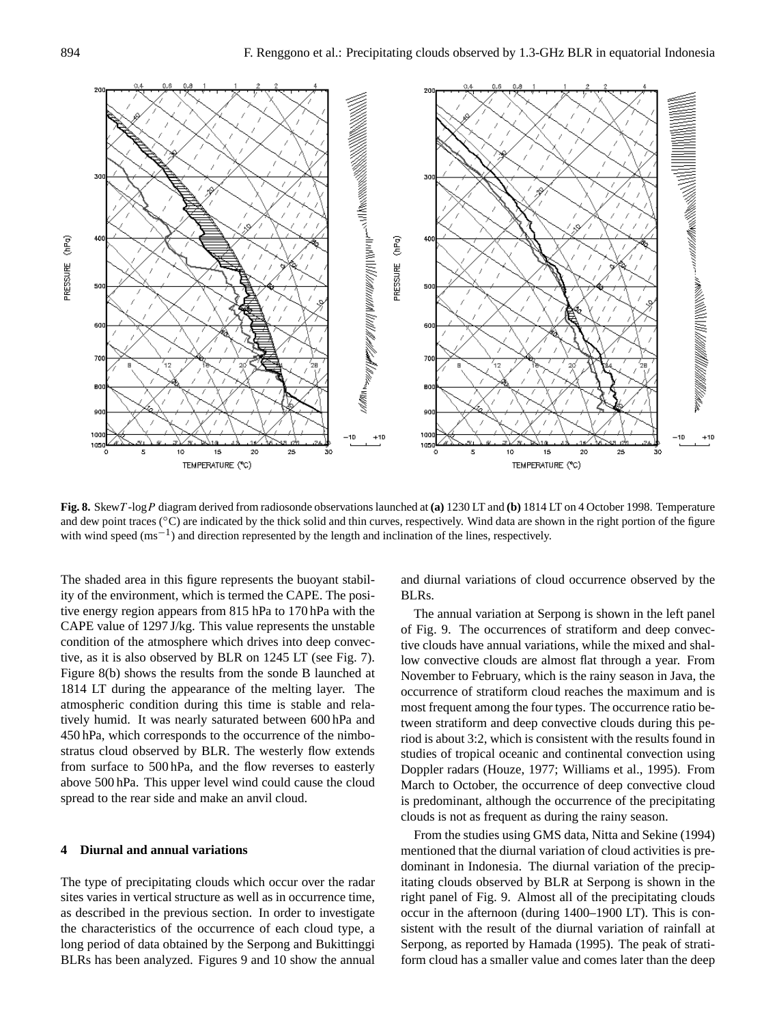

**Fig. 8.** SkewT -logP diagram derived from radiosonde observations launched at **(a)** 1230 LT and **(b)** 1814 LT on 4 October 1998. Temperature and dew point traces (°C) are indicated by the thick solid and thin curves, respectively. Wind data are shown in the right portion of the figure with wind speed (ms<sup>-1</sup>) and direction represented by the length and inclination of the lines, respectively.

The shaded area in this figure represents the buoyant stability of the environment, which is termed the CAPE. The positive energy region appears from 815 hPa to 170 hPa with the CAPE value of 1297 J/kg. This value represents the unstable condition of the atmosphere which drives into deep convective, as it is also observed by BLR on 1245 LT (see Fig. 7). Figure 8(b) shows the results from the sonde B launched at 1814 LT during the appearance of the melting layer. The atmospheric condition during this time is stable and relatively humid. It was nearly saturated between 600 hPa and 450 hPa, which corresponds to the occurrence of the nimbostratus cloud observed by BLR. The westerly flow extends from surface to 500 hPa, and the flow reverses to easterly above 500 hPa. This upper level wind could cause the cloud spread to the rear side and make an anvil cloud.

## **4 Diurnal and annual variations**

The type of precipitating clouds which occur over the radar sites varies in vertical structure as well as in occurrence time, as described in the previous section. In order to investigate the characteristics of the occurrence of each cloud type, a long period of data obtained by the Serpong and Bukittinggi BLRs has been analyzed. Figures 9 and 10 show the annual and diurnal variations of cloud occurrence observed by the BLRs.

The annual variation at Serpong is shown in the left panel of Fig. 9. The occurrences of stratiform and deep convective clouds have annual variations, while the mixed and shallow convective clouds are almost flat through a year. From November to February, which is the rainy season in Java, the occurrence of stratiform cloud reaches the maximum and is most frequent among the four types. The occurrence ratio between stratiform and deep convective clouds during this period is about 3:2, which is consistent with the results found in studies of tropical oceanic and continental convection using Doppler radars (Houze, 1977; Williams et al., 1995). From March to October, the occurrence of deep convective cloud is predominant, although the occurrence of the precipitating clouds is not as frequent as during the rainy season.

From the studies using GMS data, Nitta and Sekine (1994) mentioned that the diurnal variation of cloud activities is predominant in Indonesia. The diurnal variation of the precipitating clouds observed by BLR at Serpong is shown in the right panel of Fig. 9. Almost all of the precipitating clouds occur in the afternoon (during 1400–1900 LT). This is consistent with the result of the diurnal variation of rainfall at Serpong, as reported by Hamada (1995). The peak of stratiform cloud has a smaller value and comes later than the deep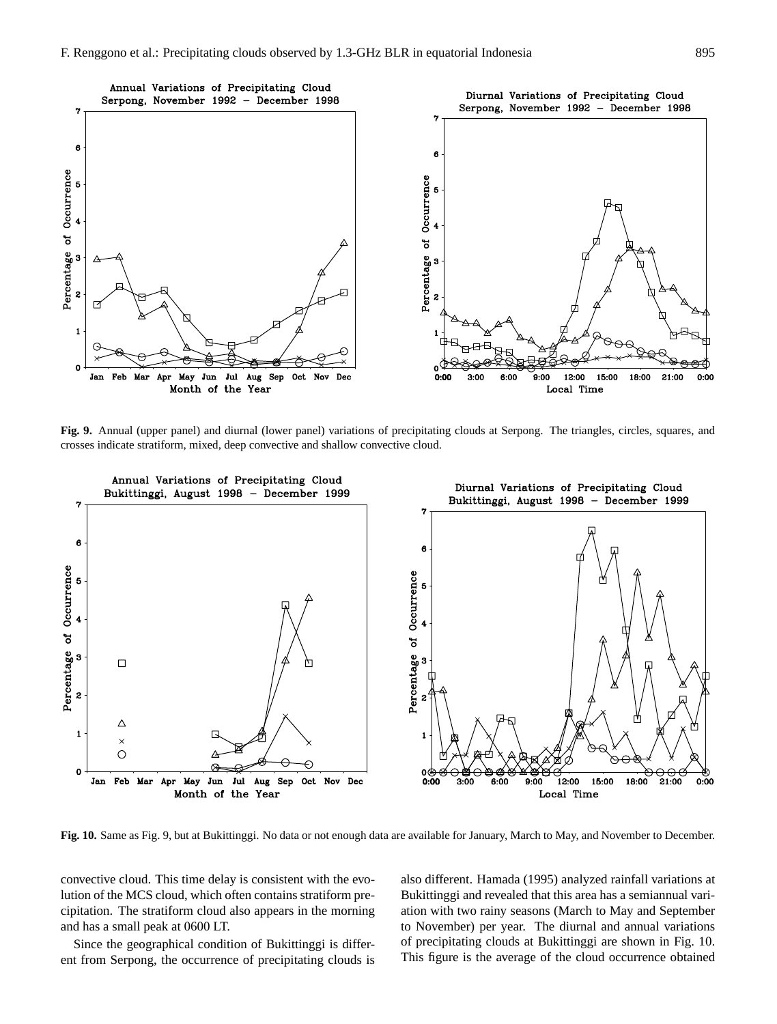

**Fig. 9.** Annual (upper panel) and diurnal (lower panel) variations of precipitating clouds at Serpong. The triangles, circles, squares, and crosses indicate stratiform, mixed, deep convective and shallow convective cloud.



**Fig. 10.** Same as Fig. 9, but at Bukittinggi. No data or not enough data are available for January, March to May, and November to December.

convective cloud. This time delay is consistent with the evolution of the MCS cloud, which often contains stratiform precipitation. The stratiform cloud also appears in the morning and has a small peak at 0600 LT.

Since the geographical condition of Bukittinggi is different from Serpong, the occurrence of precipitating clouds is also different. Hamada (1995) analyzed rainfall variations at Bukittinggi and revealed that this area has a semiannual variation with two rainy seasons (March to May and September to November) per year. The diurnal and annual variations of precipitating clouds at Bukittinggi are shown in Fig. 10. This figure is the average of the cloud occurrence obtained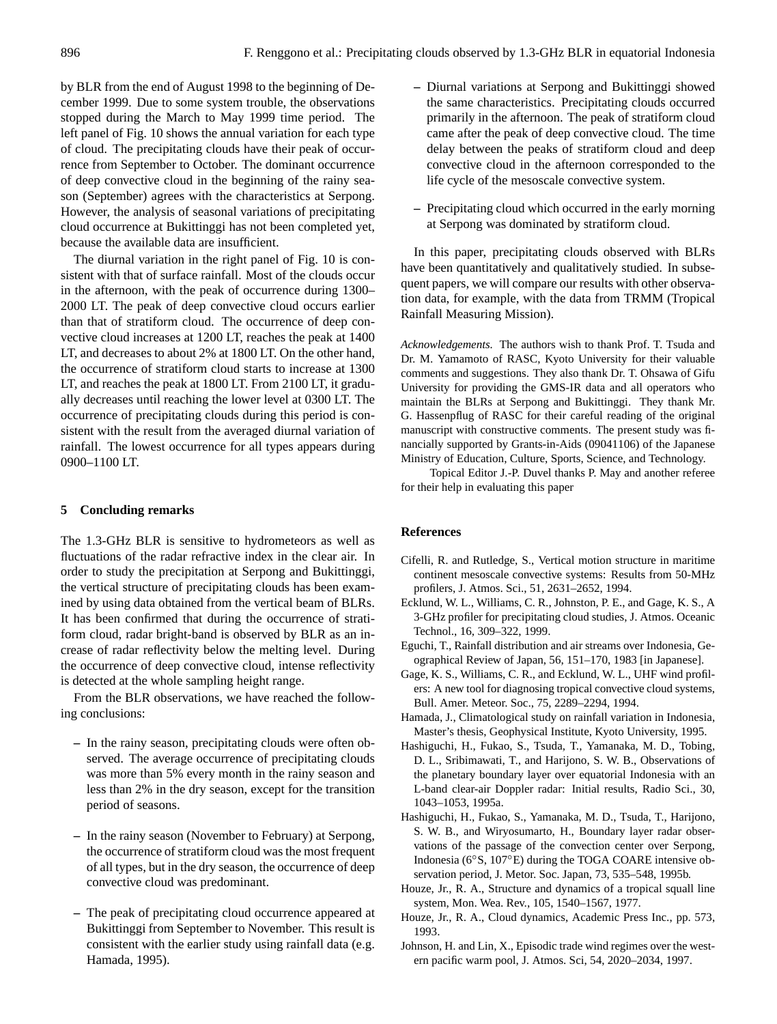by BLR from the end of August 1998 to the beginning of December 1999. Due to some system trouble, the observations stopped during the March to May 1999 time period. The left panel of Fig. 10 shows the annual variation for each type of cloud. The precipitating clouds have their peak of occurrence from September to October. The dominant occurrence of deep convective cloud in the beginning of the rainy season (September) agrees with the characteristics at Serpong. However, the analysis of seasonal variations of precipitating cloud occurrence at Bukittinggi has not been completed yet, because the available data are insufficient.

The diurnal variation in the right panel of Fig. 10 is consistent with that of surface rainfall. Most of the clouds occur in the afternoon, with the peak of occurrence during 1300– 2000 LT. The peak of deep convective cloud occurs earlier than that of stratiform cloud. The occurrence of deep convective cloud increases at 1200 LT, reaches the peak at 1400 LT, and decreases to about 2% at 1800 LT. On the other hand, the occurrence of stratiform cloud starts to increase at 1300 LT, and reaches the peak at 1800 LT. From 2100 LT, it gradually decreases until reaching the lower level at 0300 LT. The occurrence of precipitating clouds during this period is consistent with the result from the averaged diurnal variation of rainfall. The lowest occurrence for all types appears during 0900–1100 LT.

## **5 Concluding remarks**

The 1.3-GHz BLR is sensitive to hydrometeors as well as fluctuations of the radar refractive index in the clear air. In order to study the precipitation at Serpong and Bukittinggi, the vertical structure of precipitating clouds has been examined by using data obtained from the vertical beam of BLRs. It has been confirmed that during the occurrence of stratiform cloud, radar bright-band is observed by BLR as an increase of radar reflectivity below the melting level. During the occurrence of deep convective cloud, intense reflectivity is detected at the whole sampling height range.

From the BLR observations, we have reached the following conclusions:

- **–** In the rainy season, precipitating clouds were often observed. The average occurrence of precipitating clouds was more than 5% every month in the rainy season and less than 2% in the dry season, except for the transition period of seasons.
- **–** In the rainy season (November to February) at Serpong, the occurrence of stratiform cloud was the most frequent of all types, but in the dry season, the occurrence of deep convective cloud was predominant.
- **–** The peak of precipitating cloud occurrence appeared at Bukittinggi from September to November. This result is consistent with the earlier study using rainfall data (e.g. Hamada, 1995).
- **–** Diurnal variations at Serpong and Bukittinggi showed the same characteristics. Precipitating clouds occurred primarily in the afternoon. The peak of stratiform cloud came after the peak of deep convective cloud. The time delay between the peaks of stratiform cloud and deep convective cloud in the afternoon corresponded to the life cycle of the mesoscale convective system.
- **–** Precipitating cloud which occurred in the early morning at Serpong was dominated by stratiform cloud.

In this paper, precipitating clouds observed with BLRs have been quantitatively and qualitatively studied. In subsequent papers, we will compare our results with other observation data, for example, with the data from TRMM (Tropical Rainfall Measuring Mission).

*Acknowledgements.* The authors wish to thank Prof. T. Tsuda and Dr. M. Yamamoto of RASC, Kyoto University for their valuable comments and suggestions. They also thank Dr. T. Ohsawa of Gifu University for providing the GMS-IR data and all operators who maintain the BLRs at Serpong and Bukittinggi. They thank Mr. G. Hassenpflug of RASC for their careful reading of the original manuscript with constructive comments. The present study was financially supported by Grants-in-Aids (09041106) of the Japanese Ministry of Education, Culture, Sports, Science, and Technology.

Topical Editor J.-P. Duvel thanks P. May and another referee for their help in evaluating this paper

### **References**

- Cifelli, R. and Rutledge, S., Vertical motion structure in maritime continent mesoscale convective systems: Results from 50-MHz profilers, J. Atmos. Sci., 51, 2631–2652, 1994.
- Ecklund, W. L., Williams, C. R., Johnston, P. E., and Gage, K. S., A 3-GHz profiler for precipitating cloud studies, J. Atmos. Oceanic Technol., 16, 309–322, 1999.
- Eguchi, T., Rainfall distribution and air streams over Indonesia, Geographical Review of Japan, 56, 151–170, 1983 [in Japanese].
- Gage, K. S., Williams, C. R., and Ecklund, W. L., UHF wind profilers: A new tool for diagnosing tropical convective cloud systems, Bull. Amer. Meteor. Soc., 75, 2289–2294, 1994.
- Hamada, J., Climatological study on rainfall variation in Indonesia, Master's thesis, Geophysical Institute, Kyoto University, 1995.
- Hashiguchi, H., Fukao, S., Tsuda, T., Yamanaka, M. D., Tobing, D. L., Sribimawati, T., and Harijono, S. W. B., Observations of the planetary boundary layer over equatorial Indonesia with an L-band clear-air Doppler radar: Initial results, Radio Sci., 30, 1043–1053, 1995a.
- Hashiguchi, H., Fukao, S., Yamanaka, M. D., Tsuda, T., Harijono, S. W. B., and Wiryosumarto, H., Boundary layer radar observations of the passage of the convection center over Serpong, Indonesia (6◦S, 107◦E) during the TOGA COARE intensive observation period, J. Metor. Soc. Japan, 73, 535–548, 1995b.
- Houze, Jr., R. A., Structure and dynamics of a tropical squall line system, Mon. Wea. Rev., 105, 1540–1567, 1977.
- Houze, Jr., R. A., Cloud dynamics, Academic Press Inc., pp. 573, 1993.
- Johnson, H. and Lin, X., Episodic trade wind regimes over the western pacific warm pool, J. Atmos. Sci, 54, 2020–2034, 1997.